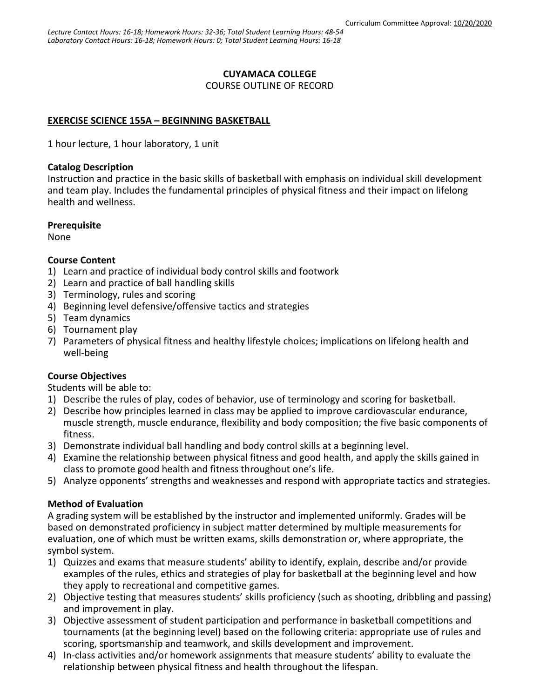## **CUYAMACA COLLEGE**

COURSE OUTLINE OF RECORD

# **EXERCISE SCIENCE 155A – BEGINNING BASKETBALL**

1 hour lecture, 1 hour laboratory, 1 unit

### **Catalog Description**

Instruction and practice in the basic skills of basketball with emphasis on individual skill development and team play. Includes the fundamental principles of physical fitness and their impact on lifelong health and wellness.

### **Prerequisite**

None

## **Course Content**

- 1) Learn and practice of individual body control skills and footwork
- 2) Learn and practice of ball handling skills
- 3) Terminology, rules and scoring
- 4) Beginning level defensive/offensive tactics and strategies
- 5) Team dynamics
- 6) Tournament play
- 7) Parameters of physical fitness and healthy lifestyle choices; implications on lifelong health and well-being

## **Course Objectives**

Students will be able to:

- 1) Describe the rules of play, codes of behavior, use of terminology and scoring for basketball.
- 2) Describe how principles learned in class may be applied to improve cardiovascular endurance, muscle strength, muscle endurance, flexibility and body composition; the five basic components of fitness.
- 3) Demonstrate individual ball handling and body control skills at a beginning level.
- 4) Examine the relationship between physical fitness and good health, and apply the skills gained in class to promote good health and fitness throughout one's life.
- 5) Analyze opponents' strengths and weaknesses and respond with appropriate tactics and strategies.

## **Method of Evaluation**

A grading system will be established by the instructor and implemented uniformly. Grades will be based on demonstrated proficiency in subject matter determined by multiple measurements for evaluation, one of which must be written exams, skills demonstration or, where appropriate, the symbol system.

- 1) Quizzes and exams that measure students' ability to identify, explain, describe and/or provide examples of the rules, ethics and strategies of play for basketball at the beginning level and how they apply to recreational and competitive games.
- 2) Objective testing that measures students' skills proficiency (such as shooting, dribbling and passing) and improvement in play.
- 3) Objective assessment of student participation and performance in basketball competitions and tournaments (at the beginning level) based on the following criteria: appropriate use of rules and scoring, sportsmanship and teamwork, and skills development and improvement.
- 4) In-class activities and/or homework assignments that measure students' ability to evaluate the relationship between physical fitness and health throughout the lifespan.